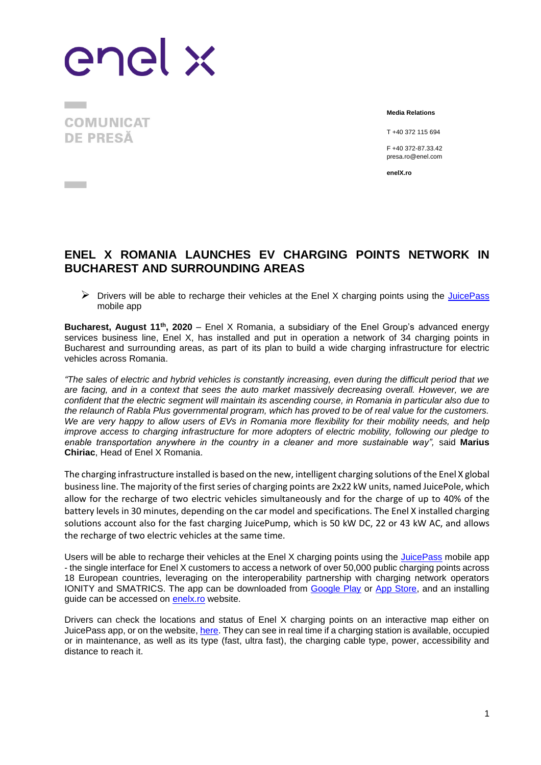enel x

**COMUNICAT DE PRESĂ** 

 $\overline{a}$  and  $\overline{a}$ 

**Media Relations**

T +40 372 115 694

F +40 372-87.33.42 presa.ro@enel.com

**enelX.ro**

## **ENEL X ROMANIA LAUNCHES EV CHARGING POINTS NETWORK IN BUCHAREST AND SURROUNDING AREAS**

 $\triangleright$  Drivers will be able to recharge their vehicles at the Enel X charging points using the [JuicePass](https://www.enelx.com/ro/ro/mobilitatea-electrica/produse/clienti-residentiali/juicepass-app) mobile app

**Bucharest, August 11th , 2020** – Enel X Romania, a subsidiary of the Enel Group's advanced energy services business line, Enel X, has installed and put in operation a network of 34 charging points in Bucharest and surrounding areas, as part of its plan to build a wide charging infrastructure for electric vehicles across Romania.

*"The sales of electric and hybrid vehicles is constantly increasing, even during the difficult period that we are facing, and in a context that sees the auto market massively decreasing overall. However, we are confident that the electric segment will maintain its ascending course, in Romania in particular also due to the relaunch of Rabla Plus governmental program, which has proved to be of real value for the customers. We are very happy to allow users of EVs in Romania more flexibility for their mobility needs, and help improve access to charging infrastructure for more adopters of electric mobility, following our pledge to enable transportation anywhere in the country in a cleaner and more sustainable way",* said **Marius Chiriac**, Head of Enel X Romania.

The charging infrastructure installed is based on the new, intelligent charging solutions of the Enel X global business line. The majority of the first series of charging points are 2x22 kW units, named JuicePole, which allow for the recharge of two electric vehicles simultaneously and for the charge of up to 40% of the battery levels in 30 minutes, depending on the car model and specifications. The Enel X installed charging solutions account also for the fast charging JuicePump, which is 50 kW DC, 22 or 43 kW AC, and allows the recharge of two electric vehicles at the same time.

Users will be able to recharge their vehicles at the Enel X charging points using the [JuicePass](https://www.enelx.com/ro/ro/mobilitatea-electrica/produse/clienti-residentiali/juicepass-app) mobile app - the single interface for Enel X customers to access a network of over 50,000 public charging points across 18 European countries, leveraging on the interoperability partnership with charging network operators IONITY and SMATRICS. The app can be downloaded from [Google Play](https://play.google.com/store/apps/details?id=com.enel.mobile.recharge2) or [App Store,](https://apps.apple.com/it/app/juicapass/id1377291789) and an installing guide can be accessed on [enelx.ro](https://www.enelx.com/ro/ro/mobilitatea-electrica/produse/clienti-residentiali/juicepass-app) website.

Drivers can check the locations and status of Enel X charging points on an interactive map either on JuicePass app, or on the website, [here.](https://www.enelx.com/ro/ro/mobilitatea-electrica/harta-statii-incarcare) They can see in real time if a charging station is available, occupied or in maintenance, as well as its type (fast, ultra fast), the charging cable type, power, accessibility and distance to reach it.